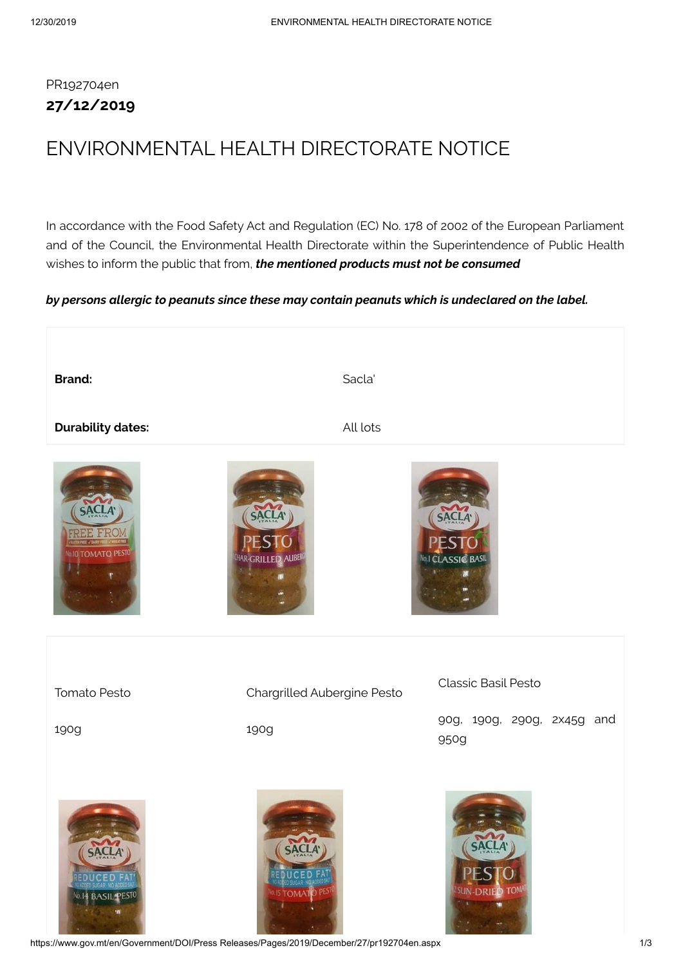## PR192704en **27/12/2019**

## ENVIRONMENTAL HEALTH DIRECTORATE NOTICE

In accordance with the Food Safety Act and Regulation (EC) No. 178 of 2002 of the European Parliament and of the Council, the Environmental Health Directorate within the Superintendence of Public Health wishes to inform the public that from, *the mentioned products must not be consumed*

## *by persons allergic to peanuts since these may contain peanuts which is undeclared on the label.*



https://www.gov.mt/en/Government/DOI/Press Releases/Pages/2019/December/27/pr192704en.aspx 1/3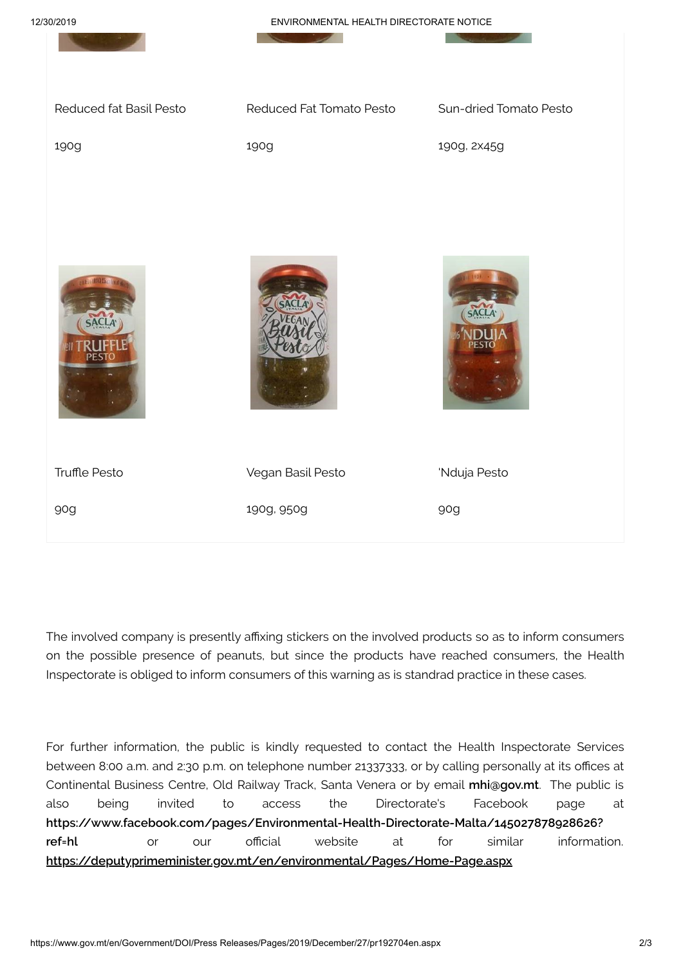

The involved company is presently affixing stickers on the involved products so as to inform consumers on the possible presence of peanuts, but since the products have reached consumers, the Health Inspectorate is obliged to inform consumers of this warning as is standrad practice in these cases.

For further information, the public is kindly requested to contact the Health Inspectorate Services between 8:00 a.m. and 2:30 p.m. on telephone number 21337333, or by calling personally at its offices at Continental Business Centre, Old Railway Track, Santa Venera or by email **[mhi@gov.mt](mailto:mhi@gov.mt)**. The public is also being invited to access the Directorate's Facebook page at **[https://www.facebook.com/pages/Environmental-Health-Directorate-Malta/145027878928626?](https://www.facebook.com/pages/Environmental-Health-Directorate-Malta/145027878928626?ref=hl) ref=hl** or our official website at for similar information. **<https://deputyprimeminister.gov.mt/en/environmental/Pages/Home-Page.aspx>**